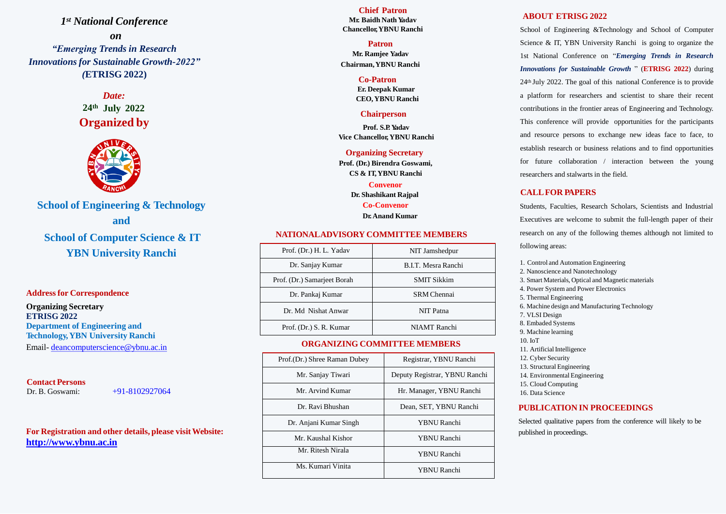*1 st National Conference on "Emerging Trends in Research Innovations for Sustainable Growth-2022" (***ETRISG 2022)**

> **24th July 2022** *Date:* **Organized by**



**School of Engineering & Technology and School of Computer Science & IT**

**YBN University Ranchi**

### **Addressfor Correspondence**

**Organizing Secretary ETRISG 2022 Department of Engineering and Technology,YBN University Ranchi** Email- [deancomputerscience@ybnu.ac.in](mailto:deancomputerscience@ybnu.ac.in)

### **Contact Persons**

Dr. B. Goswami: +91-8102927064

Science & IT, YBN University Ranchi is going to organize the *Innovations for Sustainable Growth* " (**ETRISG 2022**) during 24th July 2022. The goal of this national Conference is to provide

**For Registration and other details, please visitWebsite: [http://www.ybnu.ac.in](http://www.ybnu.ac.in/)**

### **NATIONALADVISORY COMMITTEE MEMBERS**

## **ORGANIZING COMMITTEE MEMBERS**

#### **ABOUT ETRISG 2022**

School of Engineering &Technology and School of Computer 1st National Conference on "*Emerging Trends in Research* a platform for researchers and scientist to share their recent contributions in the frontier areas of Engineering and Technology. This conference will provide opportunities for the participants and resource persons to exchange new ideas face to face, to establish research or business relations and to find opportunities for future collaboration / interaction between the young researchers and stalwarts in the field.

### **CALLFOR PAPERS**

Students, Faculties, Research Scholars, Scientists and Industrial Executives are welcome to submit the full-length paper of their research on any of the following themes although not limited to following areas:

1. Control and Automation Engineering 2. Nanoscience and Nanotechnology 3. Smart Materials, Optical and Magnetic materials 4. Power System and Power Electronics 5. Thermal Engineering 6. Machine design and Manufacturing Technology 8. Embaded Systems 9. Machine learning

- 
- 
- 
- 
- 
- 7. VLSI Design
- 
- 
- 10. IoT
- 11. Artificial Intelligence
- 12. Cyber Security
- 
- 
- 16. Data Science

13. Structural Engineering 14. Environmental Engineering 15. Cloud Computing

# **PUBLICATION IN PROCEEDINGS**

Selected qualitative papers from the conference will likely to be published in proceedings.

| Prof. (Dr.) H. L. Yadav     | NIT Jamshedpur      |
|-----------------------------|---------------------|
| Dr. Sanjay Kumar            | B.I.T. Mesra Ranchi |
| Prof. (Dr.) Samarjeet Borah | <b>SMIT Sikkim</b>  |
| Dr. Pankaj Kumar            | <b>SRM</b> Chennai  |
| Dr. Md Nishat Anwar         | NIT Patna           |
| Prof. (Dr.) S. R. Kumar     | <b>NIAMT</b> Ranchi |

| Prof.(Dr.) Shree Raman Dubey | Registrar, YBNU Ranchi        |  |
|------------------------------|-------------------------------|--|
| Mr. Sanjay Tiwari            | Deputy Registrar, YBNU Ranchi |  |
| Mr. Arvind Kumar             | Hr. Manager, YBNU Ranchi      |  |
| Dr. Ravi Bhushan             | Dean, SET, YBNU Ranchi        |  |
| Dr. Anjani Kumar Singh       | <b>YBNU</b> Ranchi            |  |
| Mr. Kaushal Kishor           | <b>YBNU</b> Ranchi            |  |
| Mr. Ritesh Nirala            | <b>YBNU</b> Ranchi            |  |
| Ms. Kumari Vinita            | <b>YBNU Ranchi</b>            |  |

**Chief Patron Mr. Baidh Nath Yadav Chancellor,YBNU Ranchi**

#### **Patron**

**Mr. Ramjee Yadav Chairman,YBNU Ranchi**

#### **Co-Patron**

**Er. Deepak Kumar CEO, YBNU Ranchi**

#### **Chairperson**

**Prof. S.P. Yadav Vice Chancellor, YBNU Ranchi**

**Organizing Secretary Prof. (Dr.) Birendra Goswami,** 

**CS & IT,YBNU Ranchi**

**Convenor Dr. Shashikant Rajpal Co-Convenor Dr.Anand Kumar**